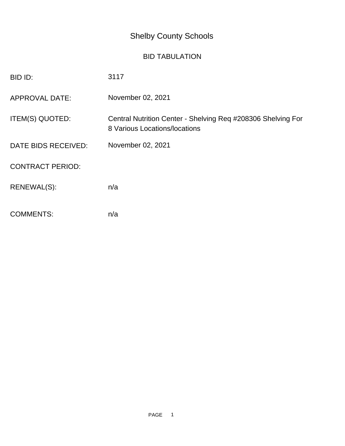## Shelby County Schools

## BID TABULATION

| BID ID:                 | 3117                                                                                          |
|-------------------------|-----------------------------------------------------------------------------------------------|
| <b>APPROVAL DATE:</b>   | November 02, 2021                                                                             |
| ITEM(S) QUOTED:         | Central Nutrition Center - Shelving Req #208306 Shelving For<br>8 Various Locations/locations |
| DATE BIDS RECEIVED:     | November 02, 2021                                                                             |
| <b>CONTRACT PERIOD:</b> |                                                                                               |
| RENEWAL(S):             | n/a                                                                                           |
| <b>COMMENTS:</b>        | n/a                                                                                           |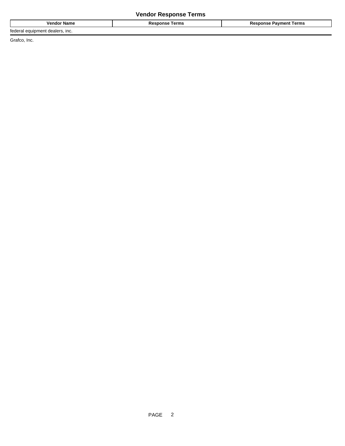## **Vendor Response Terms**

| <b>VARE</b><br>name<br>எம | ı erms | --<br>lerms<br>------------<br>.<br>. |
|---------------------------|--------|---------------------------------------|
|                           |        |                                       |

federal equipment dealers, inc.

Grafco, Inc.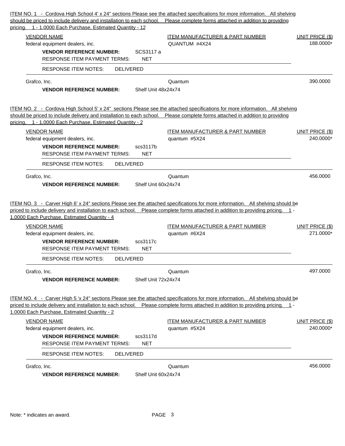|                                                                                                                                                                                                                                                                                                                                                                                                                                                                            | should be priced to include delivery and installation to each school. Please complete forms attached in addition to providing |
|----------------------------------------------------------------------------------------------------------------------------------------------------------------------------------------------------------------------------------------------------------------------------------------------------------------------------------------------------------------------------------------------------------------------------------------------------------------------------|-------------------------------------------------------------------------------------------------------------------------------|
| pricing. 1 - 1.0000 Each Purchase, Estimated Quantity - 12<br><b>VENDOR NAME</b><br><b>ITEM MANUFACTURER &amp; PART NUMBER</b><br>QUANTUM #4X24<br>federal equipment dealers, inc.<br><b>VENDOR REFERENCE NUMBER:</b><br>SCS3117 a<br><b>RESPONSE ITEM PAYMENT TERMS:</b><br><b>NET</b>                                                                                                                                                                                    | <b>UNIT PRICE (\$)</b><br>188.0000*                                                                                           |
| <b>RESPONSE ITEM NOTES:</b><br><b>DELIVERED</b>                                                                                                                                                                                                                                                                                                                                                                                                                            |                                                                                                                               |
| Grafco, Inc.<br>Quantum<br><b>VENDOR REFERENCE NUMBER:</b><br>Shelf Unit 48x24x74                                                                                                                                                                                                                                                                                                                                                                                          | 390,0000                                                                                                                      |
| ITEM NO. 2 - Cordova High School 5' x 24" sections Please see the attached specifications for more information. All shelving<br>should be priced to include delivery and installation to each school. Please complete forms attached in addition to providing                                                                                                                                                                                                              |                                                                                                                               |
| pricing. 1 - 1.0000 Each Purchase, Estimated Quantity - 2<br><b>VENDOR NAME</b><br><b>ITEM MANUFACTURER &amp; PART NUMBER</b><br>quantum #5X24<br>federal equipment dealers, inc.<br><b>VENDOR REFERENCE NUMBER:</b><br>scs3117b<br><b>RESPONSE ITEM PAYMENT TERMS:</b><br><b>NET</b>                                                                                                                                                                                      | UNIT PRICE (\$)<br>240.0000*                                                                                                  |
| <b>RESPONSE ITEM NOTES:</b><br><b>DELIVERED</b>                                                                                                                                                                                                                                                                                                                                                                                                                            |                                                                                                                               |
| Grafco, Inc.<br>Quantum<br>Shelf Unit 60x24x74<br><b>VENDOR REFERENCE NUMBER:</b>                                                                                                                                                                                                                                                                                                                                                                                          | 456.0000                                                                                                                      |
| ITEM NO. 3 - Carver High 6' x 24" sections Please see the attached specifications for more information. All shelving should be<br>priced to include delivery and installation to each school. Please complete forms attached in addition to providing pricing. 1 -<br>1.0000 Each Purchase, Estimated Quantity - 4                                                                                                                                                         |                                                                                                                               |
|                                                                                                                                                                                                                                                                                                                                                                                                                                                                            |                                                                                                                               |
| <b>VENDOR NAME</b><br><b>ITEM MANUFACTURER &amp; PART NUMBER</b>                                                                                                                                                                                                                                                                                                                                                                                                           |                                                                                                                               |
| quantum #6X24<br>federal equipment dealers, inc.<br>scs3117c<br><b>VENDOR REFERENCE NUMBER:</b><br><b>RESPONSE ITEM PAYMENT TERMS:</b><br><b>NET</b>                                                                                                                                                                                                                                                                                                                       | <b>UNIT PRICE (\$)</b><br>271.0000*                                                                                           |
| <b>RESPONSE ITEM NOTES:</b><br><b>DELIVERED</b>                                                                                                                                                                                                                                                                                                                                                                                                                            |                                                                                                                               |
| Grafco, Inc.<br>Quantum<br>Shelf Unit 72x24x74<br><b>VENDOR REFERENCE NUMBER:</b>                                                                                                                                                                                                                                                                                                                                                                                          | 497.0000                                                                                                                      |
|                                                                                                                                                                                                                                                                                                                                                                                                                                                                            |                                                                                                                               |
| <b>ITEM MANUFACTURER &amp; PART NUMBER</b><br><b>VENDOR NAME</b>                                                                                                                                                                                                                                                                                                                                                                                                           |                                                                                                                               |
| ITEM NO. 4 - Carver High 5 'x 24" sections Please see the attached specifications for more information. All shelving should be<br>priced to include delivery and installation to each school. Please complete forms attached in addition to providing pricing. 1 -<br>1.0000 Each Purchase, Estimated Quantity - 2<br>federal equipment dealers, inc.<br>quantum #5X24<br><b>VENDOR REFERENCE NUMBER:</b><br>scs3117d<br><b>RESPONSE ITEM PAYMENT TERMS:</b><br><b>NET</b> | <b>UNIT PRICE (\$)</b><br>240.0000*                                                                                           |
| <b>RESPONSE ITEM NOTES:</b><br><b>DELIVERED</b>                                                                                                                                                                                                                                                                                                                                                                                                                            |                                                                                                                               |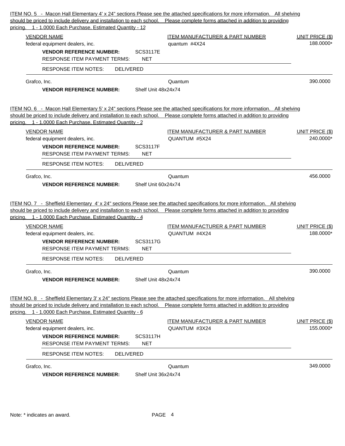|                                                                                        | Shelf Unit 36x24x74                                                                                                                                                                                                                                                                   |                                     |
|----------------------------------------------------------------------------------------|---------------------------------------------------------------------------------------------------------------------------------------------------------------------------------------------------------------------------------------------------------------------------------------|-------------------------------------|
| Grafco, Inc.                                                                           | Quantum                                                                                                                                                                                                                                                                               | 349.0000                            |
| <b>RESPONSE ITEM NOTES:</b><br><b>DELIVERED</b>                                        |                                                                                                                                                                                                                                                                                       |                                     |
| <b>VENDOR REFERENCE NUMBER:</b><br><b>RESPONSE ITEM PAYMENT TERMS:</b>                 | <b>SCS3117H</b><br><b>NET</b>                                                                                                                                                                                                                                                         |                                     |
| federal equipment dealers, inc.                                                        | QUANTUM #3X24                                                                                                                                                                                                                                                                         | 155.0000*                           |
| <b>VENDOR NAME</b>                                                                     | <b>ITEM MANUFACTURER &amp; PART NUMBER</b>                                                                                                                                                                                                                                            | <b>UNIT PRICE (\$)</b>              |
| pricing. 1 - 1.0000 Each Purchase, Estimated Quantity - 6                              | ITEM NO. 8 - Sheffield Elementary 3' x 24" sections Please see the attached specifications for more information. All shelving<br>should be priced to include delivery and installation to each school. Please complete forms attached in addition to providing                        |                                     |
| Grafco, Inc.<br><b>VENDOR REFERENCE NUMBER:</b>                                        | Quantum<br>Shelf Unit 48x24x74                                                                                                                                                                                                                                                        | 390,0000                            |
|                                                                                        |                                                                                                                                                                                                                                                                                       |                                     |
| <b>RESPONSE ITEM NOTES:</b><br><b>DELIVERED</b>                                        |                                                                                                                                                                                                                                                                                       |                                     |
| <b>VENDOR REFERENCE NUMBER:</b><br><b>RESPONSE ITEM PAYMENT TERMS:</b>                 | <b>SCS3117G</b><br><b>NET</b>                                                                                                                                                                                                                                                         |                                     |
| federal equipment dealers, inc.                                                        | QUANTUM #4X24                                                                                                                                                                                                                                                                         | 188.0000*                           |
| pricing. 1 - 1.0000 Each Purchase, Estimated Quantity - 4<br><b>VENDOR NAME</b>        | <b>ITEM MANUFACTURER &amp; PART NUMBER</b>                                                                                                                                                                                                                                            | <b>UNIT PRICE (\$)</b>              |
| <b>VENDOR REFERENCE NUMBER:</b>                                                        | Shelf Unit 60x24x74<br>ITEM NO. 7 - Sheffield Elementary 4' x 24" sections Please see the attached specifications for more information. All shelving<br>should be priced to include delivery and installation to each school. Please complete forms attached in addition to providing |                                     |
| Grafco, Inc.                                                                           | Quantum                                                                                                                                                                                                                                                                               | 456.0000                            |
| <b>RESPONSE ITEM NOTES:</b><br><b>DELIVERED</b>                                        |                                                                                                                                                                                                                                                                                       |                                     |
| <b>RESPONSE ITEM PAYMENT TERMS:</b>                                                    | <b>NET</b>                                                                                                                                                                                                                                                                            |                                     |
| federal equipment dealers, inc.<br><b>VENDOR REFERENCE NUMBER:</b>                     | <b>SCS3117F</b>                                                                                                                                                                                                                                                                       |                                     |
| <b>VENDOR NAME</b>                                                                     | <b>ITEM MANUFACTURER &amp; PART NUMBER</b><br>QUANTUM #5X24                                                                                                                                                                                                                           | UNIT PRICE (\$)<br>240.0000*        |
| pricing. 1 - 1.0000 Each Purchase, Estimated Quantity - 2                              | should be priced to include delivery and installation to each school. Please complete forms attached in addition to providing                                                                                                                                                         |                                     |
|                                                                                        | ITEM NO. 6 - Macon Hall Elementary 5' x 24" sections Please see the attached specifications for more information. All shelving                                                                                                                                                        |                                     |
| <b>VENDOR REFERENCE NUMBER:</b>                                                        | Shelf Unit 48x24x74                                                                                                                                                                                                                                                                   |                                     |
| Grafco, Inc.                                                                           | Quantum                                                                                                                                                                                                                                                                               | 390.0000                            |
| <b>RESPONSE ITEM PAYMENT TERMS:</b><br><b>RESPONSE ITEM NOTES:</b><br><b>DELIVERED</b> | <b>NET</b>                                                                                                                                                                                                                                                                            |                                     |
| <b>VENDOR REFERENCE NUMBER:</b>                                                        | <b>SCS3117E</b>                                                                                                                                                                                                                                                                       |                                     |
| <b>VENDOR NAME</b><br>federal equipment dealers, inc.                                  | <b>ITEM MANUFACTURER &amp; PART NUMBER</b><br>quantum #4X24                                                                                                                                                                                                                           | <b>UNIT PRICE (\$)</b><br>188.0000* |
|                                                                                        |                                                                                                                                                                                                                                                                                       |                                     |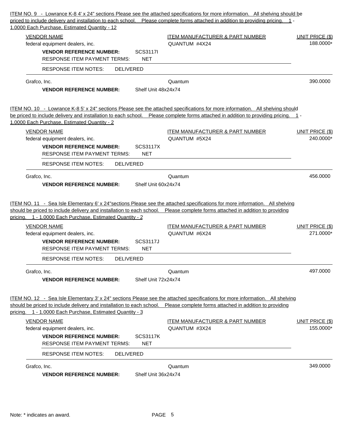| ITEM NO. 9 - Lowrance K-8 4' x 24" sections Please see the attached specifications for more information. All shelving should be<br>priced to include delivery and installation to each school. Please complete forms attached in addition to providing pricing. 1 -                                                         |                                     |
|-----------------------------------------------------------------------------------------------------------------------------------------------------------------------------------------------------------------------------------------------------------------------------------------------------------------------------|-------------------------------------|
| 1.0000 Each Purchase, Estimated Quantity - 12<br><b>VENDOR NAME</b><br><b>ITEM MANUFACTURER &amp; PART NUMBER</b><br>QUANTUM #4X24<br>federal equipment dealers, inc.<br><b>VENDOR REFERENCE NUMBER:</b><br><b>SCS3117I</b><br><b>RESPONSE ITEM PAYMENT TERMS:</b><br><b>NET</b>                                            | <b>UNIT PRICE (\$)</b><br>188.0000* |
| <b>RESPONSE ITEM NOTES:</b><br><b>DELIVERED</b>                                                                                                                                                                                                                                                                             |                                     |
| Grafco, Inc.<br>Quantum<br><b>VENDOR REFERENCE NUMBER:</b><br>Shelf Unit 48x24x74                                                                                                                                                                                                                                           | 390.0000                            |
| ITEM NO. 10 - Lowrance K-8 5' x 24" sections Please see the attached specifications for more information. All shelving should<br>be priced to include delivery and installation to each school. Please complete forms attached in addition to providing pricing. 1 -<br>1.0000 Each Purchase, Estimated Quantity - 2        |                                     |
| <b>VENDOR NAME</b><br><b>ITEM MANUFACTURER &amp; PART NUMBER</b><br>QUANTUM #5X24<br>federal equipment dealers, inc.<br><b>VENDOR REFERENCE NUMBER:</b><br><b>SCS3117X</b><br><b>RESPONSE ITEM PAYMENT TERMS:</b><br><b>NET</b>                                                                                             | UNIT PRICE (\$)<br>240.0000*        |
| RESPONSE ITEM NOTES:<br><b>DELIVERED</b>                                                                                                                                                                                                                                                                                    |                                     |
| Grafco, Inc.<br>Quantum<br>Shelf Unit 60x24x74<br><b>VENDOR REFERENCE NUMBER:</b>                                                                                                                                                                                                                                           | 456.0000                            |
| ITEM NO. 11 - Sea Isle Elementary 6' x 24" sections Please see the attached specifications for more information. All shelving<br>should be priced to include delivery and installation to each school. Please complete forms attached in addition to providing<br>pricing. 1 - 1.0000 Each Purchase, Estimated Quantity - 2 |                                     |
| <b>VENDOR NAME</b><br><b>ITEM MANUFACTURER &amp; PART NUMBER</b><br>QUANTUM #6X24<br>federal equipment dealers, inc.<br><b>SCS3117J</b><br><b>VENDOR REFERENCE NUMBER:</b><br><b>RESPONSE ITEM PAYMENT TERMS:</b><br><b>NET</b>                                                                                             | <b>UNIT PRICE (\$)</b><br>271.0000* |
| RESPONSE ITEM NOTES:<br><b>DELIVERED</b><br>Grafco, Inc.<br>Quantum<br>Shelf Unit 72x24x74<br><b>VENDOR REFERENCE NUMBER:</b>                                                                                                                                                                                               | 497.0000                            |
| ITEM NO. 12 - Sea Isle Elementary 3' x 24" sections Please see the attached specifications for more information. All shelving<br>should be priced to include delivery and installation to each school. Please complete forms attached in addition to providing<br>pricing. 1 - 1.0000 Each Purchase, Estimated Quantity - 3 |                                     |
| <b>VENDOR NAME</b><br><b>ITEM MANUFACTURER &amp; PART NUMBER</b><br>QUANTUM #3X24<br>federal equipment dealers, inc.<br><b>VENDOR REFERENCE NUMBER:</b><br><b>SCS3117K</b><br><b>NET</b><br><b>RESPONSE ITEM PAYMENT TERMS:</b>                                                                                             | <b>UNIT PRICE (\$)</b><br>155.0000* |
| RESPONSE ITEM NOTES:<br><b>DELIVERED</b>                                                                                                                                                                                                                                                                                    |                                     |
| Grafco, Inc.<br>Quantum<br>Shelf Unit 36x24x74<br><b>VENDOR REFERENCE NUMBER:</b>                                                                                                                                                                                                                                           | 349.0000                            |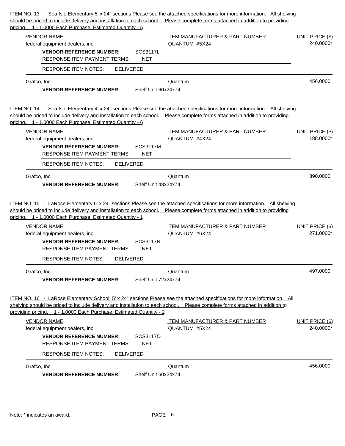| Grafco, Inc.<br>Quantum<br>Shelf Unit 72x24x74<br><b>VENDOR REFERENCE NUMBER:</b><br><b>VENDOR NAME</b><br><b>ITEM MANUFACTURER &amp; PART NUMBER</b><br>QUANTUM #5X24<br>federal equipment dealers, inc.<br><b>VENDOR REFERENCE NUMBER:</b><br>SCS3117O<br><b>RESPONSE ITEM PAYMENT TERMS:</b><br><b>NET</b><br><b>DELIVERED</b><br>RESPONSE ITEM NOTES:<br>Grafco, Inc.<br>Quantum | 497.0000<br><b>UNIT PRICE (\$)</b><br>240.0000*<br>456.0000 |
|--------------------------------------------------------------------------------------------------------------------------------------------------------------------------------------------------------------------------------------------------------------------------------------------------------------------------------------------------------------------------------------|-------------------------------------------------------------|
| ITEM NO. 16 - LaRose Elementary School 5' x 24" sections Please see the attached specifications for more information. All<br>shelving should be priced to include delivery and installation to each school. Please complete forms attached in addition to<br>providing pricing. 1 - 1.0000 Each Purchase, Estimated Quantity - 2                                                     |                                                             |
|                                                                                                                                                                                                                                                                                                                                                                                      |                                                             |
|                                                                                                                                                                                                                                                                                                                                                                                      |                                                             |
|                                                                                                                                                                                                                                                                                                                                                                                      |                                                             |
|                                                                                                                                                                                                                                                                                                                                                                                      |                                                             |
|                                                                                                                                                                                                                                                                                                                                                                                      |                                                             |
|                                                                                                                                                                                                                                                                                                                                                                                      |                                                             |
|                                                                                                                                                                                                                                                                                                                                                                                      |                                                             |
|                                                                                                                                                                                                                                                                                                                                                                                      |                                                             |
| <b>RESPONSE ITEM NOTES:</b><br><b>DELIVERED</b>                                                                                                                                                                                                                                                                                                                                      |                                                             |
| <b>RESPONSE ITEM PAYMENT TERMS:</b><br><b>NET</b>                                                                                                                                                                                                                                                                                                                                    |                                                             |
| <b>SCS3117N</b><br><b>VENDOR REFERENCE NUMBER:</b>                                                                                                                                                                                                                                                                                                                                   |                                                             |
| <b>VENDOR NAME</b><br><b>ITEM MANUFACTURER &amp; PART NUMBER</b><br>QUANTUM #6X24<br>federal equipment dealers, inc.                                                                                                                                                                                                                                                                 | <b>UNIT PRICE (\$)</b><br>271.0000*                         |
| ITEM NO. 15 - LaRose Elementary 6' x 24" sections Please see the attached specifications for more information. All shelving<br>should be priced to include delivery and installation to each school. Please complete forms attached in addition to providing<br>pricing. 1 - 1.0000 Each Purchase, Estimated Quantity - 1                                                            |                                                             |
| Shelf Unit 48x24x74<br><b>VENDOR REFERENCE NUMBER:</b>                                                                                                                                                                                                                                                                                                                               |                                                             |
| Grafco, Inc.<br>Quantum                                                                                                                                                                                                                                                                                                                                                              | 390.0000                                                    |
| <b>RESPONSE ITEM NOTES:</b><br><b>DELIVERED</b>                                                                                                                                                                                                                                                                                                                                      |                                                             |
| <b>NET</b><br><b>RESPONSE ITEM PAYMENT TERMS:</b>                                                                                                                                                                                                                                                                                                                                    |                                                             |
| QUANTUM #4X24<br>federal equipment dealers, inc.<br><b>SCS3117M</b><br><b>VENDOR REFERENCE NUMBER:</b>                                                                                                                                                                                                                                                                               | 188.0000*                                                   |
| <b>VENDOR NAME</b><br><b>ITEM MANUFACTURER &amp; PART NUMBER</b>                                                                                                                                                                                                                                                                                                                     | UNIT PRICE (\$)                                             |
| pricing. 1 - 1.0000 Each Purchase, Estimated Quantity - 6                                                                                                                                                                                                                                                                                                                            |                                                             |
| ITEM NO. 14 - Sea Isle Elementary 4' x 24" sections Please see the attached specifications for more information. All shelving<br>should be priced to include delivery and installation to each school. Please complete forms attached in addition to providing                                                                                                                       |                                                             |
| <b>VENDOR REFERENCE NUMBER:</b><br>Shelf Unit 60x24x74                                                                                                                                                                                                                                                                                                                               |                                                             |
| Grafco, Inc.<br>Quantum                                                                                                                                                                                                                                                                                                                                                              | 456.0000                                                    |
| <b>RESPONSE ITEM NOTES:</b><br><b>DELIVERED</b>                                                                                                                                                                                                                                                                                                                                      |                                                             |
| <b>VENDOR REFERENCE NUMBER:</b><br><b>SCS3117L</b><br><b>RESPONSE ITEM PAYMENT TERMS:</b><br><b>NET</b>                                                                                                                                                                                                                                                                              |                                                             |
| QUANTUM #5X24<br>federal equipment dealers, inc.                                                                                                                                                                                                                                                                                                                                     | 240.0000*                                                   |
| <b>VENDOR NAME</b><br><b>ITEM MANUFACTURER &amp; PART NUMBER</b>                                                                                                                                                                                                                                                                                                                     | <b>UNIT PRICE (\$)</b>                                      |
| should be priced to include delivery and installation to each school. Please complete forms attached in addition to providing<br>pricing. 1 - 1.0000 Each Purchase, Estimated Quantity - 5                                                                                                                                                                                           |                                                             |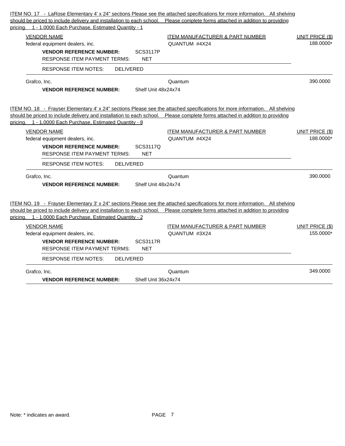| ITEM NO. 17 - LaRose Elementary 4' x 24" sections Please see the attached specifications for more information. All shelving   |                                            |                        |
|-------------------------------------------------------------------------------------------------------------------------------|--------------------------------------------|------------------------|
| should be priced to include delivery and installation to each school. Please complete forms attached in addition to providing |                                            |                        |
| pricing. 1 - 1.0000 Each Purchase, Estimated Quantity - 1                                                                     |                                            |                        |
| <b>VENDOR NAME</b>                                                                                                            | <b>ITEM MANUFACTURER &amp; PART NUMBER</b> | <b>UNIT PRICE (\$)</b> |
| federal equipment dealers, inc.                                                                                               | QUANTUM #4X24                              | 188.0000*              |
| <b>VENDOR REFERENCE NUMBER:</b><br><b>SCS3117P</b>                                                                            |                                            |                        |
| <b>NET</b><br><b>RESPONSE ITEM PAYMENT TERMS:</b>                                                                             |                                            |                        |
| <b>RESPONSE ITEM NOTES:</b><br><b>DELIVERED</b>                                                                               |                                            |                        |
| Grafco, Inc.                                                                                                                  | Quantum                                    | 390.0000               |
| Shelf Unit 48x24x74<br><b>VENDOR REFERENCE NUMBER:</b>                                                                        |                                            |                        |
|                                                                                                                               |                                            |                        |
| ITEM NO. 18 - Frayser Elementary 4' x 24" sections Please see the attached specifications for more information. All shelving  |                                            |                        |
| should be priced to include delivery and installation to each school. Please complete forms attached in addition to providing |                                            |                        |
| pricing. 1 - 1.0000 Each Purchase, Estimated Quantity - 8                                                                     |                                            |                        |
| <b>VENDOR NAME</b>                                                                                                            | ITEM MANUFACTURER & PART NUMBER            | <b>UNIT PRICE (\$)</b> |
| federal equipment dealers, inc.                                                                                               | QUANTUM #4X24                              | 188.0000*              |
| <b>VENDOR REFERENCE NUMBER:</b><br>SCS3117Q                                                                                   |                                            |                        |
| <b>RESPONSE ITEM PAYMENT TERMS:</b><br><b>NET</b>                                                                             |                                            |                        |
| <b>RESPONSE ITEM NOTES:</b><br><b>DELIVERED</b>                                                                               |                                            |                        |
| Grafco, Inc.                                                                                                                  | Quantum                                    | 390,0000               |
| Shelf Unit 48x24x74<br><b>VENDOR REFERENCE NUMBER:</b>                                                                        |                                            |                        |
|                                                                                                                               |                                            |                        |
| ITEM NO. 19 - Frayser Elementary 3' x 24" sections Please see the attached specifications for more information. All shelving  |                                            |                        |
| should be priced to include delivery and installation to each school. Please complete forms attached in addition to providing |                                            |                        |
| pricing. 1 - 1.0000 Each Purchase, Estimated Quantity - 2                                                                     |                                            |                        |
| <b>VENDOR NAME</b>                                                                                                            | ITEM MANUFACTURER & PART NUMBER            | <b>UNIT PRICE (\$)</b> |
| federal equipment dealers, inc.                                                                                               | QUANTUM #3X24                              | 155.0000*              |
| <b>VENDOR REFERENCE NUMBER:</b><br><b>SCS3117R</b>                                                                            |                                            |                        |
| <b>NET</b><br><b>RESPONSE ITEM PAYMENT TERMS:</b>                                                                             |                                            |                        |
| <b>RESPONSE ITEM NOTES:</b><br><b>DELIVERED</b>                                                                               |                                            |                        |
| Grafco, Inc.                                                                                                                  | Quantum                                    | 349,0000               |
| Shelf Unit 36x24x74<br><b>VENDOR REFERENCE NUMBER:</b>                                                                        |                                            |                        |